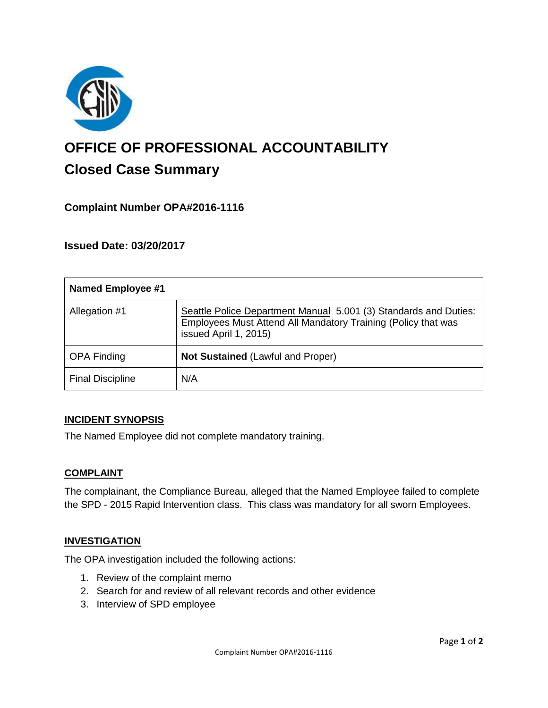

# **OFFICE OF PROFESSIONAL ACCOUNTABILITY Closed Case Summary**

## **Complaint Number OPA#2016-1116**

**Issued Date: 03/20/2017**

| <b>Named Employee #1</b> |                                                                                                                                                            |
|--------------------------|------------------------------------------------------------------------------------------------------------------------------------------------------------|
| Allegation #1            | Seattle Police Department Manual 5.001 (3) Standards and Duties:<br>Employees Must Attend All Mandatory Training (Policy that was<br>issued April 1, 2015) |
| <b>OPA Finding</b>       | Not Sustained (Lawful and Proper)                                                                                                                          |
| <b>Final Discipline</b>  | N/A                                                                                                                                                        |

#### **INCIDENT SYNOPSIS**

The Named Employee did not complete mandatory training.

#### **COMPLAINT**

The complainant, the Compliance Bureau, alleged that the Named Employee failed to complete the SPD - 2015 Rapid Intervention class. This class was mandatory for all sworn Employees.

#### **INVESTIGATION**

The OPA investigation included the following actions:

- 1. Review of the complaint memo
- 2. Search for and review of all relevant records and other evidence
- 3. Interview of SPD employee